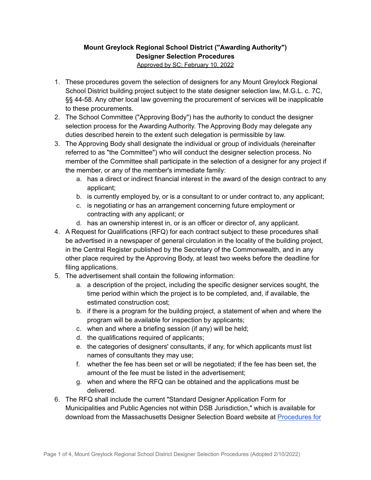## **Mount Greylock Regional School District ("Awarding Authority") Designer Selection Procedures** Approved by SC: February 10, 2022

- 1. These procedures govern the selection of designers for any Mount Greylock Regional School District building project subject to the state designer selection law, M.G.L. c. 7C, §§ 44-58. Any other local law governing the procurement of services will be inapplicable to these procurements.
- 2. The School Committee ("Approving Body") has the authority to conduct the designer selection process for the Awarding Authority. The Approving Body may delegate any duties described herein to the extent such delegation is permissible by law.
- 3. The Approving Body shall designate the individual or group of individuals (hereinafter referred to as "the Committee") who will conduct the designer selection process. No member of the Committee shall participate in the selection of a designer for any project if the member, or any of the member's immediate family:
	- a. has a direct or indirect financial interest in the award of the design contract to any applicant;
	- b. is currently employed by, or is a consultant to or under contract to, any applicant;
	- c. is negotiating or has an arrangement concerning future employment or contracting with any applicant; or
	- d. has an ownership interest in, or is an officer or director of, any applicant.
- 4. A Request for Qualifications (RFQ) for each contract subject to these procedures shall be advertised in a newspaper of general circulation in the locality of the building project, in the Central Register published by the Secretary of the Commonwealth, and in any other place required by the Approving Body, at least two weeks before the deadline for filing applications.
- 5. The advertisement shall contain the following information:
	- a. a description of the project, including the specific designer services sought, the time period within which the project is to be completed, and, if available, the estimated construction cost;
	- b. if there is a program for the building project, a statement of when and where the program will be available for inspection by applicants;
	- c. when and where a briefing session (if any) will be held;
	- d. the qualifications required of applicants;
	- e. the categories of designers' consultants, if any, for which applicants must list names of consultants they may use;
	- f. whether the fee has been set or will be negotiated; if the fee has been set, the amount of the fee must be listed in the advertisement;
	- g. when and where the RFQ can be obtained and the applications must be delivered.
- 6. The RFQ shall include the current "Standard Designer Application Form for Municipalities and Public Agencies not within DSB Jurisdiction," which is available for download from the Massachusetts Designer Selection Board website at [Procedures](https://www.mass.gov/procedures-for-municipalities-and-public-agencies) for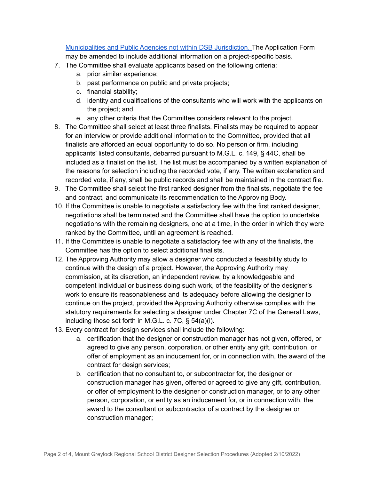[Municipalities](https://www.mass.gov/procedures-for-municipalities-and-public-agencies) and Public Agencies not within DSB Jurisdiction. The Application Form may be amended to include additional information on a project-specific basis.

- 7. The Committee shall evaluate applicants based on the following criteria:
	- a. prior similar experience;
	- b. past performance on public and private projects;
	- c. financial stability;
	- d. identity and qualifications of the consultants who will work with the applicants on the project; and
	- e. any other criteria that the Committee considers relevant to the project.
- 8. The Committee shall select at least three finalists. Finalists may be required to appear for an interview or provide additional information to the Committee, provided that all finalists are afforded an equal opportunity to do so. No person or firm, including applicants' listed consultants, debarred pursuant to M.G.L. c. 149, § 44C, shall be included as a finalist on the list. The list must be accompanied by a written explanation of the reasons for selection including the recorded vote, if any. The written explanation and recorded vote, if any, shall be public records and shall be maintained in the contract file.
- 9. The Committee shall select the first ranked designer from the finalists, negotiate the fee and contract, and communicate its recommendation to the Approving Body.
- 10. If the Committee is unable to negotiate a satisfactory fee with the first ranked designer, negotiations shall be terminated and the Committee shall have the option to undertake negotiations with the remaining designers, one at a time, in the order in which they were ranked by the Committee, until an agreement is reached.
- 11. If the Committee is unable to negotiate a satisfactory fee with any of the finalists, the Committee has the option to select additional finalists.
- 12. The Approving Authority may allow a designer who conducted a feasibility study to continue with the design of a project. However, the Approving Authority may commission, at its discretion, an independent review, by a knowledgeable and competent individual or business doing such work, of the feasibility of the designer's work to ensure its reasonableness and its adequacy before allowing the designer to continue on the project, provided the Approving Authority otherwise complies with the statutory requirements for selecting a designer under Chapter 7C of the General Laws, including those set forth in M.G.L. c. 7C, § 54(a)(i).
- 13. Every contract for design services shall include the following:
	- a. certification that the designer or construction manager has not given, offered, or agreed to give any person, corporation, or other entity any gift, contribution, or offer of employment as an inducement for, or in connection with, the award of the contract for design services;
	- b. certification that no consultant to, or subcontractor for, the designer or construction manager has given, offered or agreed to give any gift, contribution, or offer of employment to the designer or construction manager, or to any other person, corporation, or entity as an inducement for, or in connection with, the award to the consultant or subcontractor of a contract by the designer or construction manager;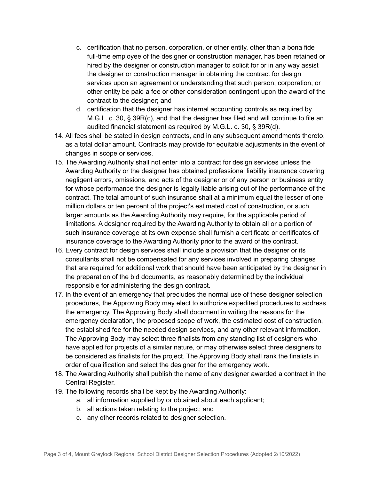- c. certification that no person, corporation, or other entity, other than a bona fide full-time employee of the designer or construction manager, has been retained or hired by the designer or construction manager to solicit for or in any way assist the designer or construction manager in obtaining the contract for design services upon an agreement or understanding that such person, corporation, or other entity be paid a fee or other consideration contingent upon the award of the contract to the designer; and
- d. certification that the designer has internal accounting controls as required by M.G.L. c. 30, § 39R(c), and that the designer has filed and will continue to file an audited financial statement as required by M.G.L. c. 30, § 39R(d).
- 14. All fees shall be stated in design contracts, and in any subsequent amendments thereto, as a total dollar amount. Contracts may provide for equitable adjustments in the event of changes in scope or services.
- 15. The Awarding Authority shall not enter into a contract for design services unless the Awarding Authority or the designer has obtained professional liability insurance covering negligent errors, omissions, and acts of the designer or of any person or business entity for whose performance the designer is legally liable arising out of the performance of the contract. The total amount of such insurance shall at a minimum equal the lesser of one million dollars or ten percent of the project's estimated cost of construction, or such larger amounts as the Awarding Authority may require, for the applicable period of limitations. A designer required by the Awarding Authority to obtain all or a portion of such insurance coverage at its own expense shall furnish a certificate or certificates of insurance coverage to the Awarding Authority prior to the award of the contract.
- 16. Every contract for design services shall include a provision that the designer or its consultants shall not be compensated for any services involved in preparing changes that are required for additional work that should have been anticipated by the designer in the preparation of the bid documents, as reasonably determined by the individual responsible for administering the design contract.
- 17. In the event of an emergency that precludes the normal use of these designer selection procedures, the Approving Body may elect to authorize expedited procedures to address the emergency. The Approving Body shall document in writing the reasons for the emergency declaration, the proposed scope of work, the estimated cost of construction, the established fee for the needed design services, and any other relevant information. The Approving Body may select three finalists from any standing list of designers who have applied for projects of a similar nature, or may otherwise select three designers to be considered as finalists for the project. The Approving Body shall rank the finalists in order of qualification and select the designer for the emergency work.
- 18. The Awarding Authority shall publish the name of any designer awarded a contract in the Central Register.
- 19. The following records shall be kept by the Awarding Authority:
	- a. all information supplied by or obtained about each applicant;
	- b. all actions taken relating to the project; and
	- c. any other records related to designer selection.